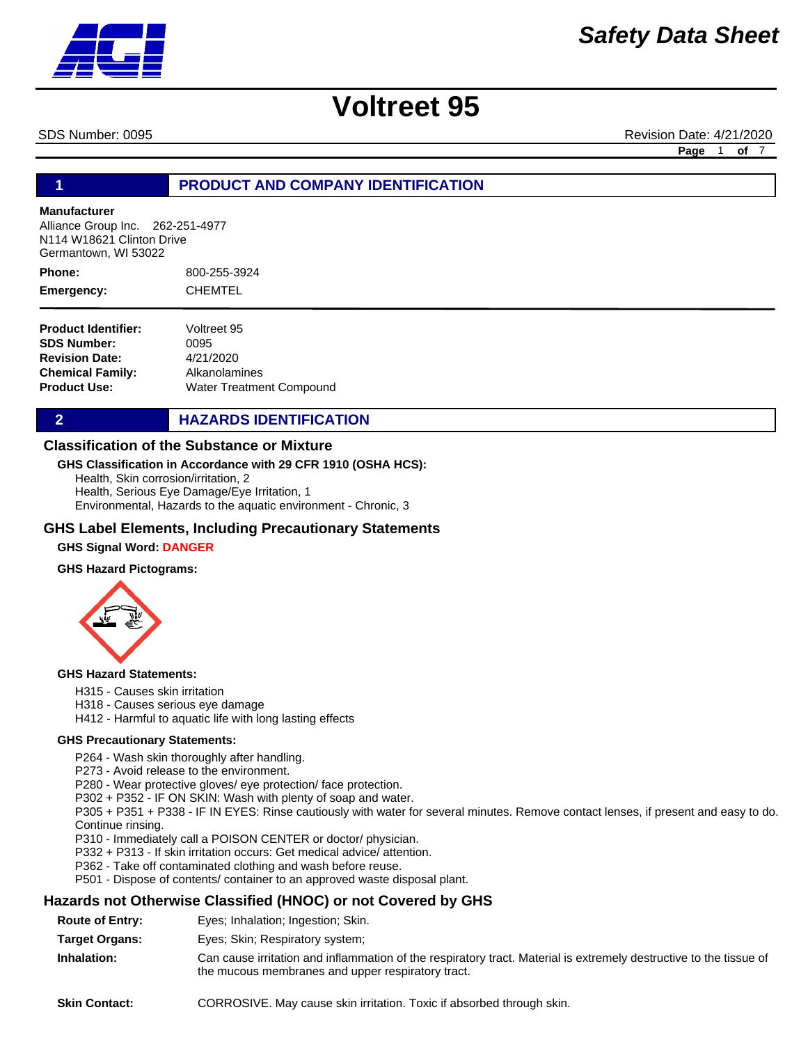

SDS Number: 0095 Revision Date: 4/21/2020

**Page** 1 **of** 7

### **1 PRODUCT AND COMPANY IDENTIFICATION**

### **Manufacturer**

Alliance Group Inc. 262-251-4977 N114 W18621 Clinton Drive Germantown, WI 53022

800-255-3924 CHEMTEL **Phone: Emergency:**

| <b>Product Identifier:</b> | Voltreet 95              |
|----------------------------|--------------------------|
| <b>SDS Number:</b>         | 0095                     |
| <b>Revision Date:</b>      | 4/21/2020                |
| Chemical Family:           | Alkanolamines            |
| Product Use:               | Water Treatment Compound |

**2 HAZARDS IDENTIFICATION** 

### **Classification of the Substance or Mixture**

### **GHS Classification in Accordance with 29 CFR 1910 (OSHA HCS):**

Health, Skin corrosion/irritation, 2 Health, Serious Eye Damage/Eye Irritation, 1 Environmental, Hazards to the aquatic environment - Chronic, 3

### **GHS Label Elements, Including Precautionary Statements**

### **GHS Signal Word: DANGER**

### **GHS Hazard Pictograms:**



### **GHS Hazard Statements:**

H315 - Causes skin irritation

- H318 Causes serious eye damage
- H412 Harmful to aquatic life with long lasting effects

### **GHS Precautionary Statements:**

P264 - Wash skin thoroughly after handling.

P273 - Avoid release to the environment.

P280 - Wear protective gloves/ eye protection/ face protection.

P302 + P352 - IF ON SKIN: Wash with plenty of soap and water.

P305 + P351 + P338 - IF IN EYES: Rinse cautiously with water for several minutes. Remove contact lenses, if present and easy to do. Continue rinsing.

P310 - Immediately call a POISON CENTER or doctor/ physician.

P332 + P313 - If skin irritation occurs: Get medical advice/ attention.

P362 - Take off contaminated clothing and wash before reuse.

P501 - Dispose of contents/ container to an approved waste disposal plant.

### **Hazards not Otherwise Classified (HNOC) or not Covered by GHS**

- **Route of Entry:** Eyes; Inhalation; Ingestion; Skin.
- **Target Organs:** Eyes; Skin; Respiratory system;
- **Inhalation:** Can cause irritation and inflammation of the respiratory tract. Material is extremely destructive to the tissue of the mucous membranes and upper respiratory tract.
- **Skin Contact:** CORROSIVE. May cause skin irritation. Toxic if absorbed through skin.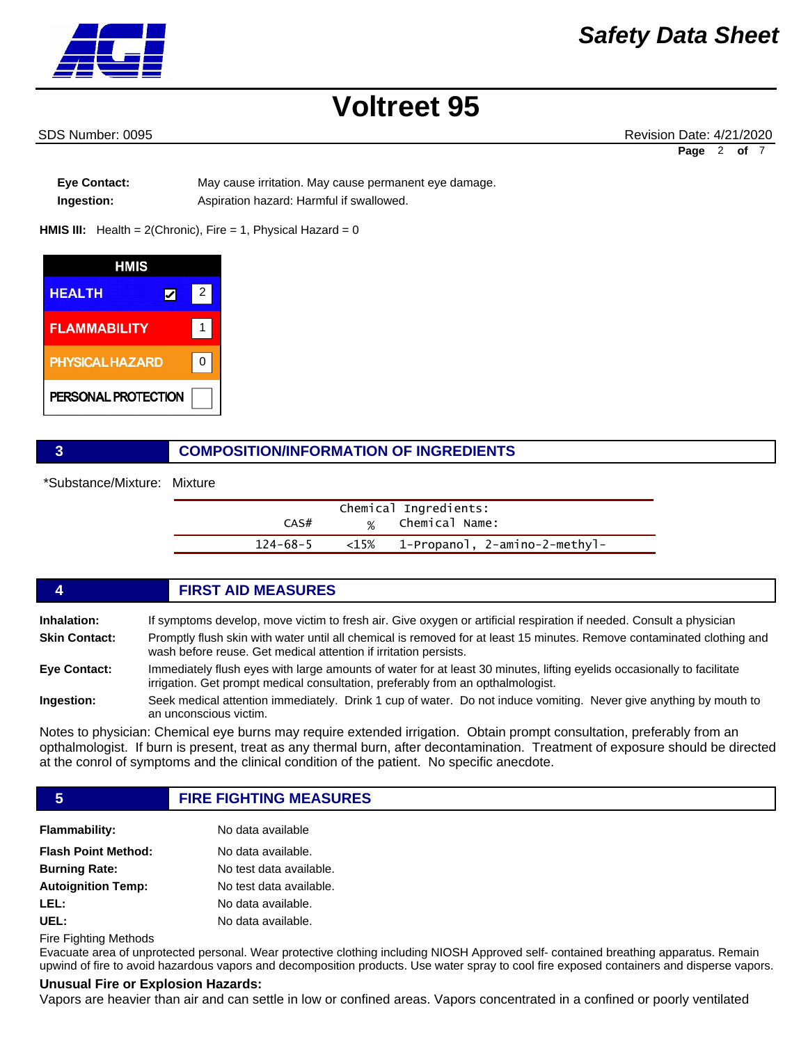

SDS Number: 0095 Revision Date: 4/21/2020 Page 2 of

**Eye Contact:** May cause irritation. May cause permanent eye damage. **Ingestion:** Aspiration hazard: Harmful if swallowed.

**HMIS III:** Health = 2(Chronic), Fire = 1, Physical Hazard = 0



### **3 COMPOSITION/INFORMATION OF INGREDIENTS**

\*Substance/Mixture: Mixture

| Chemical Ingredients: |      |                               |  |
|-----------------------|------|-------------------------------|--|
| CAS#                  |      | % Chemical Name:              |  |
| 124-68-5              | <15% | -1-Propanol, 2-amino-2-methyl |  |

## **4 FIRST AID MEASURES**

**Inhalation:** If symptoms develop, move victim to fresh air. Give oxygen or artificial respiration if needed. Consult a physician **Skin Contact:** Promptly flush skin with water until all chemical is removed for at least 15 minutes. Remove contaminated clothing and wash before reuse. Get medical attention if irritation persists. **Eye Contact:** Immediately flush eyes with large amounts of water for at least 30 minutes, lifting eyelids occasionally to facilitate irrigation. Get prompt medical consultation, preferably from an opthalmologist. **Ingestion:** Seek medical attention immediately. Drink 1 cup of water. Do not induce vomiting. Never give anything by mouth to an unconscious victim.

Notes to physician: Chemical eye burns may require extended irrigation. Obtain prompt consultation, preferably from an opthalmologist. If burn is present, treat as any thermal burn, after decontamination. Treatment of exposure should be directed at the conrol of symptoms and the clinical condition of the patient. No specific anecdote.

**5 FIRE FIGHTING MEASURES**

| <b>Flammability:</b>       | No data available       |
|----------------------------|-------------------------|
| <b>Flash Point Method:</b> | No data available.      |
| <b>Burning Rate:</b>       | No test data available. |
| <b>Autoignition Temp:</b>  | No test data available. |
| LEL:                       | No data available.      |
| UEL:                       | No data available.      |

Fire Fighting Methods

Evacuate area of unprotected personal. Wear protective clothing including NIOSH Approved self- contained breathing apparatus. Remain upwind of fire to avoid hazardous vapors and decomposition products. Use water spray to cool fire exposed containers and disperse vapors.

### **Unusual Fire or Explosion Hazards:**

Vapors are heavier than air and can settle in low or confined areas. Vapors concentrated in a confined or poorly ventilated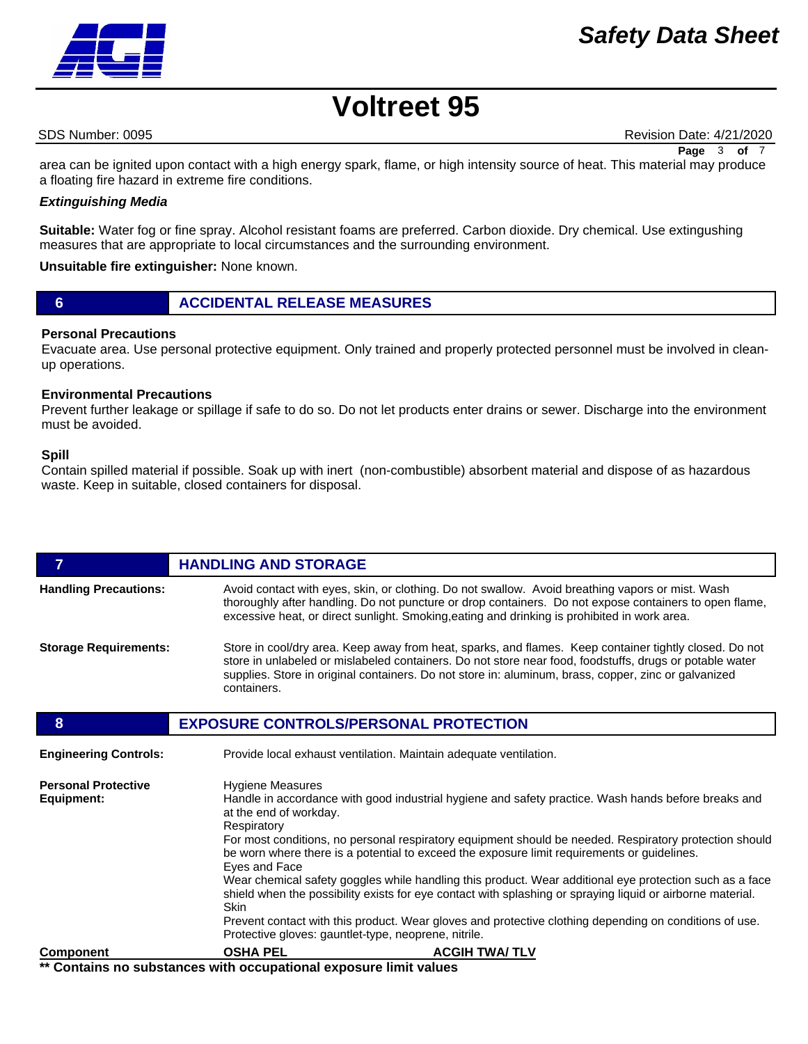### *Safety Data Sheet*



# **Voltreet 95**

SDS Number: 0095 Revision Date: 4/21/2020 **Page** 3 **of** 7

area can be ignited upon contact with a high energy spark, flame, or high intensity source of heat. This material may produce a floating fire hazard in extreme fire conditions.

### *Extinguishing Media*

**Suitable:** Water fog or fine spray. Alcohol resistant foams are preferred. Carbon dioxide. Dry chemical. Use extingushing measures that are appropriate to local circumstances and the surrounding environment.

**Unsuitable fire extinguisher:** None known.

**6 ACCIDENTAL RELEASE MEASURES**

### **Personal Precautions**

Evacuate area. Use personal protective equipment. Only trained and properly protected personnel must be involved in cleanup operations.

### **Environmental Precautions**

Prevent further leakage or spillage if safe to do so. Do not let products enter drains or sewer. Discharge into the environment must be avoided.

### **Spill**

Contain spilled material if possible. Soak up with inert (non-combustible) absorbent material and dispose of as hazardous waste. Keep in suitable, closed containers for disposal.

| 7                                        | <b>HANDLING AND STORAGE</b>                                                                                                                                                                                                                                                                                                                                                                                                                                                                                                                                                                                                                                                                                                                                                                                 |
|------------------------------------------|-------------------------------------------------------------------------------------------------------------------------------------------------------------------------------------------------------------------------------------------------------------------------------------------------------------------------------------------------------------------------------------------------------------------------------------------------------------------------------------------------------------------------------------------------------------------------------------------------------------------------------------------------------------------------------------------------------------------------------------------------------------------------------------------------------------|
| <b>Handling Precautions:</b>             | Avoid contact with eyes, skin, or clothing. Do not swallow. Avoid breathing vapors or mist. Wash<br>thoroughly after handling. Do not puncture or drop containers. Do not expose containers to open flame,<br>excessive heat, or direct sunlight. Smoking, eating and drinking is prohibited in work area.                                                                                                                                                                                                                                                                                                                                                                                                                                                                                                  |
| <b>Storage Requirements:</b>             | Store in cool/dry area. Keep away from heat, sparks, and flames. Keep container tightly closed. Do not<br>store in unlabeled or mislabeled containers. Do not store near food, foodstuffs, drugs or potable water<br>supplies. Store in original containers. Do not store in: aluminum, brass, copper, zinc or galvanized<br>containers.                                                                                                                                                                                                                                                                                                                                                                                                                                                                    |
| 8                                        | <b>EXPOSURE CONTROLS/PERSONAL PROTECTION</b>                                                                                                                                                                                                                                                                                                                                                                                                                                                                                                                                                                                                                                                                                                                                                                |
| <b>Engineering Controls:</b>             | Provide local exhaust ventilation. Maintain adequate ventilation.                                                                                                                                                                                                                                                                                                                                                                                                                                                                                                                                                                                                                                                                                                                                           |
| <b>Personal Protective</b><br>Equipment: | <b>Hygiene Measures</b><br>Handle in accordance with good industrial hygiene and safety practice. Wash hands before breaks and<br>at the end of workday.<br>Respiratory<br>For most conditions, no personal respiratory equipment should be needed. Respiratory protection should<br>be worn where there is a potential to exceed the exposure limit requirements or guidelines.<br>Eyes and Face<br>Wear chemical safety goggles while handling this product. Wear additional eye protection such as a face<br>shield when the possibility exists for eye contact with splashing or spraying liquid or airborne material.<br><b>Skin</b><br>Prevent contact with this product. Wear gloves and protective clothing depending on conditions of use.<br>Protective gloves: gauntlet-type, neoprene, nitrile. |
| <b>Component</b>                         | <b>OSHA PEL</b><br><b>ACGIH TWA/TLV</b>                                                                                                                                                                                                                                                                                                                                                                                                                                                                                                                                                                                                                                                                                                                                                                     |

**\*\* Contains no substances with occupational exposure limit values**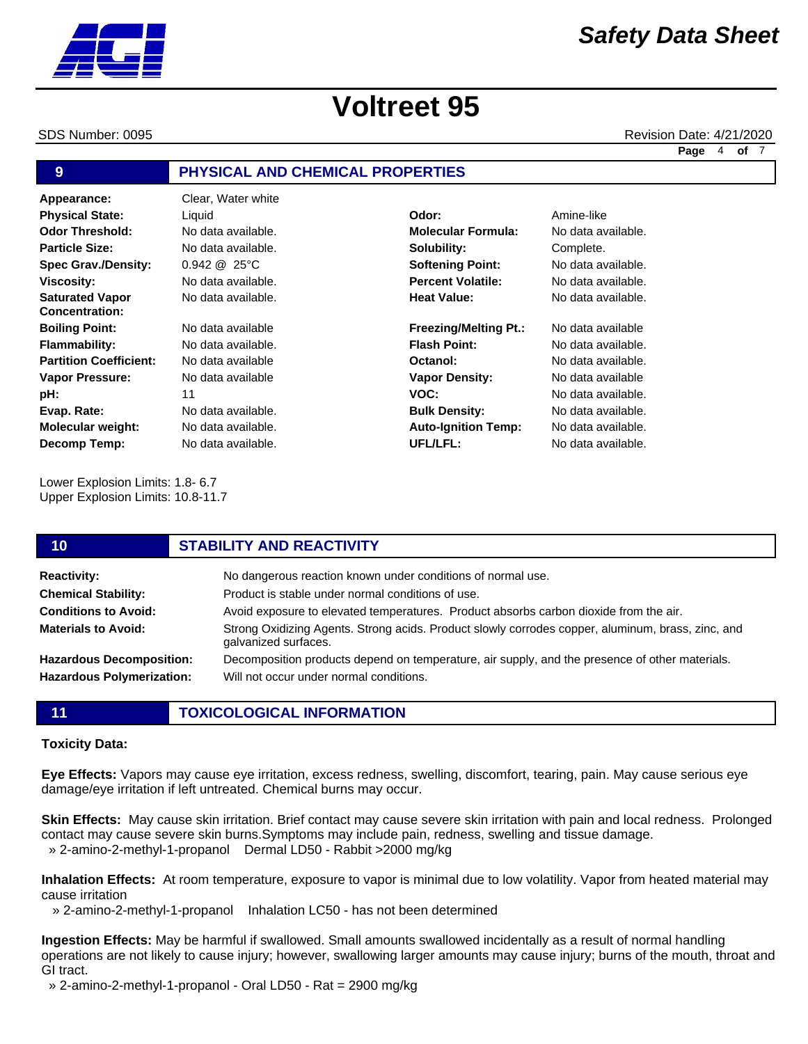SDS Number: 0095 Revision Date: 4/21/2020

**Page** 4 **of** 7

### **9 PHYSICAL AND CHEMICAL PROPERTIES**

**Appearance:** Clear, Water white No data available. 0.942 @ 25°C No data available. No data available. No data available No data available. No data available No data available 11 No data available. No data available. No data available. **Odor Threshold: Particle Size: Spec Grav./Density: Viscosity: Saturated Vapor Concentration: Boiling Point: Flammability: Partition Coefficient: Vapor Pressure: pH: Evap. Rate: Molecular weight: Decomp Temp: Physical State:** Ciquid Contact Contact Contact Contact Amine-like

Lower Explosion Limits: 1.8- 6.7 Upper Explosion Limits: 10.8-11.7

| 10                                                                  | <b>STABILITY AND REACTIVITY</b>                                                                                                           |
|---------------------------------------------------------------------|-------------------------------------------------------------------------------------------------------------------------------------------|
| <b>Reactivity:</b>                                                  | No dangerous reaction known under conditions of normal use.                                                                               |
| <b>Chemical Stability:</b>                                          | Product is stable under normal conditions of use.                                                                                         |
| <b>Conditions to Avoid:</b>                                         | Avoid exposure to elevated temperatures. Product absorbs carbon dioxide from the air.                                                     |
| <b>Materials to Avoid:</b>                                          | Strong Oxidizing Agents. Strong acids. Product slowly corrodes copper, aluminum, brass, zinc, and<br>galvanized surfaces.                 |
| <b>Hazardous Decomposition:</b><br><b>Hazardous Polymerization:</b> | Decomposition products depend on temperature, air supply, and the presence of other materials.<br>Will not occur under normal conditions. |

**11 TOXICOLOGICAL INFORMATION**

### **Toxicity Data:**

**Eye Effects:** Vapors may cause eye irritation, excess redness, swelling, discomfort, tearing, pain. May cause serious eye damage/eye irritation if left untreated. Chemical burns may occur.

**Skin Effects:** May cause skin irritation. Brief contact may cause severe skin irritation with pain and local redness. Prolonged contact may cause severe skin burns.Symptoms may include pain, redness, swelling and tissue damage. » 2-amino-2-methyl-1-propanol Dermal LD50 - Rabbit >2000 mg/kg

**Inhalation Effects:** At room temperature, exposure to vapor is minimal due to low volatility. Vapor from heated material may cause irritation

» 2-amino-2-methyl-1-propanol Inhalation LC50 - has not been determined

**Ingestion Effects:** May be harmful if swallowed. Small amounts swallowed incidentally as a result of normal handling operations are not likely to cause injury; however, swallowing larger amounts may cause injury; burns of the mouth, throat and GI tract.

» 2-amino-2-methyl-1-propanol - Oral LD50 - Rat = 2900 mg/kg





No data available. **Molecular Formula:** No data available. **Solubility: Softening Point: Percent Volatile: Heat Value: Freezing/Melting Pt.: Flash Point: Octanol: Vapor Density: VOC:**

> **Bulk Density: Auto-Ignition Temp:**

**UFL/LFL:**

Complete. No data available. No data available. No data available. No data available

No data available. No data available. No data available No data available. No data available. No data available. No data available.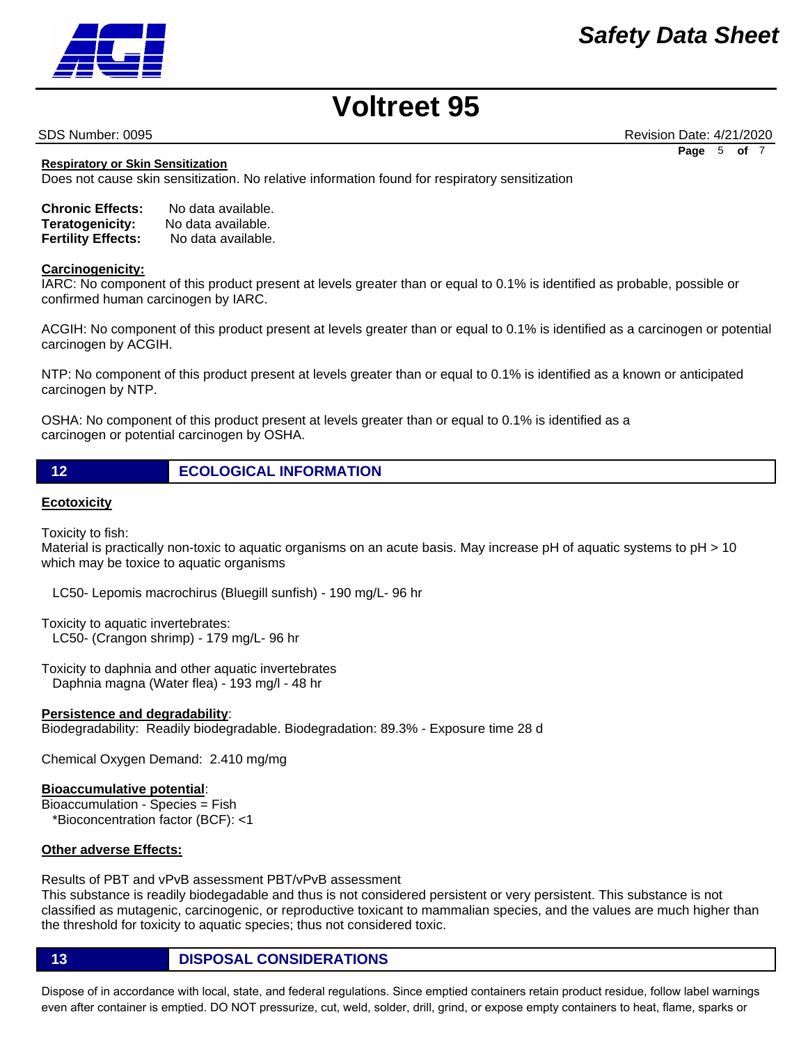SDS Number: 0095 Revision Date: 4/21/2020 **Page** 5 **of** 7

**Respiratory or Skin Sensitization**

Does not cause skin sensitization. No relative information found for respiratory sensitization

| <b>Chronic Effects:</b>   | No data available. |
|---------------------------|--------------------|
| Teratogenicity:           | No data available. |
| <b>Fertility Effects:</b> | No data available. |

### **Carcinogenicity:**

IARC: No component of this product present at levels greater than or equal to 0.1% is identified as probable, possible or confirmed human carcinogen by IARC.

ACGIH: No component of this product present at levels greater than or equal to 0.1% is identified as a carcinogen or potential carcinogen by ACGIH.

NTP: No component of this product present at levels greater than or equal to 0.1% is identified as a known or anticipated carcinogen by NTP.

OSHA: No component of this product present at levels greater than or equal to 0.1% is identified as a carcinogen or potential carcinogen by OSHA.

### **Ecotoxicity**

Toxicity to fish:

Material is practically non-toxic to aquatic organisms on an acute basis. May increase pH of aquatic systems to pH > 10 which may be toxice to aquatic organisms

LC50- Lepomis macrochirus (Bluegill sunfish) - 190 mg/L- 96 hr

Toxicity to aquatic invertebrates: LC50- (Crangon shrimp) - 179 mg/L- 96 hr

Toxicity to daphnia and other aquatic invertebrates Daphnia magna (Water flea) - 193 mg/l - 48 hr

### **Persistence and degradability**:

Biodegradability: Readily biodegradable. Biodegradation: 89.3% - Exposure time 28 d

Chemical Oxygen Demand: 2.410 mg/mg

### **Bioaccumulative potential**:

Bioaccumulation - Species = Fish \*Bioconcentration factor (BCF): <1

### **Other adverse Effects:**

### Results of PBT and vPvB assessment PBT/vPvB assessment

This substance is readily biodegadable and thus is not considered persistent or very persistent. This substance is not classified as mutagenic, carcinogenic, or reproductive toxicant to mammalian species, and the values are much higher than the threshold for toxicity to aquatic species; thus not considered toxic.

**13 DISPOSAL CONSIDERATIONS**

Dispose of in accordance with local, state, and federal regulations. Since emptied containers retain product residue, follow label warnings even after container is emptied. DO NOT pressurize, cut, weld, solder, drill, grind, or expose empty containers to heat, flame, sparks or

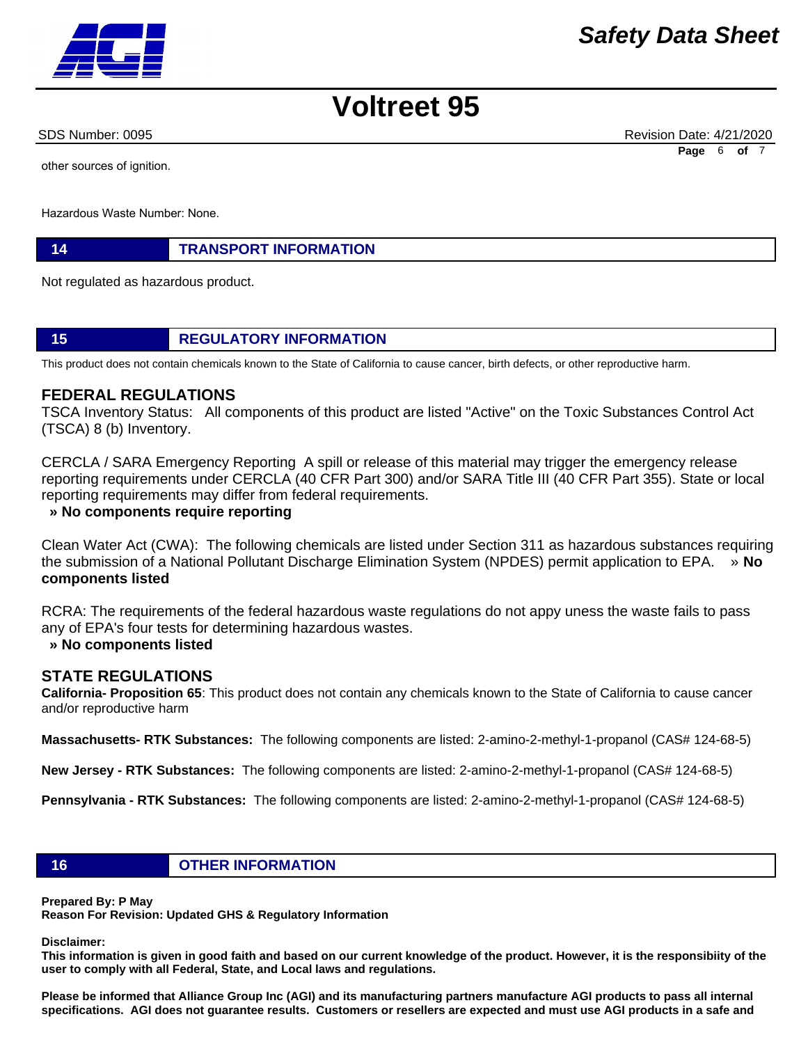other sources of ignition.

Hazardous Waste Number: None.

### **14 TRANSPORT INFORMATION**

Not regulated as hazardous product.

### **15 REGULATORY INFORMATION**

This product does not contain chemicals known to the State of California to cause cancer, birth defects, or other reproductive harm.

### **FEDERAL REGULATIONS**

TSCA Inventory Status: All components of this product are listed "Active" on the Toxic Substances Control Act (TSCA) 8 (b) Inventory.

CERCLA / SARA Emergency Reporting A spill or release of this material may trigger the emergency release reporting requirements under CERCLA (40 CFR Part 300) and/or SARA Title III (40 CFR Part 355). State or local reporting requirements may differ from federal requirements.

### **» No components require reporting**

Clean Water Act (CWA): The following chemicals are listed under Section 311 as hazardous substances requiring the submission of a National Pollutant Discharge Elimination System (NPDES) permit application to EPA. » **No components listed**

RCRA: The requirements of the federal hazardous waste regulations do not appy uness the waste fails to pass any of EPA's four tests for determining hazardous wastes.

### **» No components listed**

### **STATE REGULATIONS**

**California- Proposition 65**: This product does not contain any chemicals known to the State of California to cause cancer and/or reproductive harm

**Massachusetts- RTK Substances:** The following components are listed: 2-amino-2-methyl-1-propanol (CAS# 124-68-5)

**New Jersey - RTK Substances:** The following components are listed: 2-amino-2-methyl-1-propanol (CAS# 124-68-5)

**Pennsylvania - RTK Substances:** The following components are listed: 2-amino-2-methyl-1-propanol (CAS# 124-68-5)

### **16 OTHER INFORMATION**

**Prepared By: P May** 

**Reason For Revision: Updated GHS & Regulatory Information** 

### **Disclaimer:**

**This information is given in good faith and based on our current knowledge of the product. However, it is the responsibiity of the user to comply with all Federal, State, and Local laws and regulations.** 

**Please be informed that Alliance Group Inc (AGI) and its manufacturing partners manufacture AGI products to pass all internal specifications. AGI does not guarantee results. Customers or resellers are expected and must use AGI products in a safe and** 



SDS Number: 0095 Revision Date: 4/21/2020 **Page** 6 **of** 7